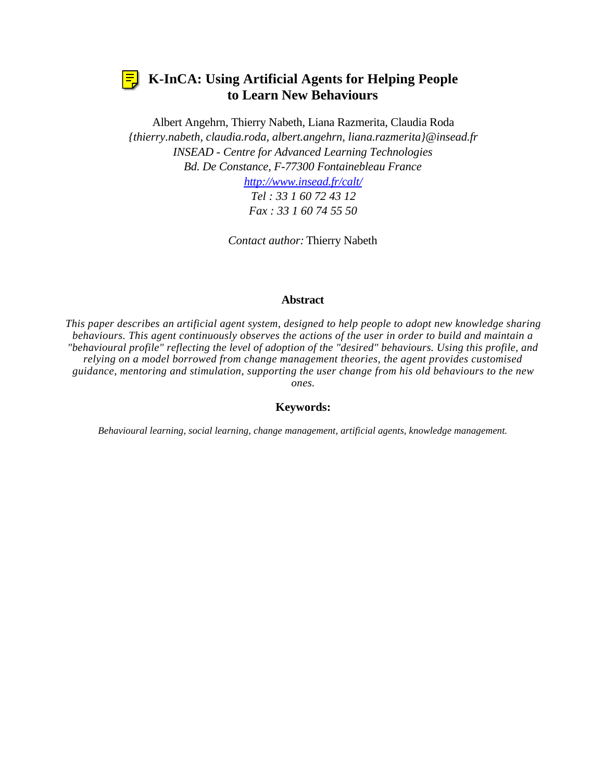

# **K-InCA: Using Artificial Agents for Helping People to Learn New Behaviours**

Albert Angehrn, Thierry Nabeth, Liana Razmerita, Claudia Roda *{thierry.nabeth, claudia.roda, albert.angehrn, liana.razmerita}@insead.fr INSEAD - Centre for Advanced Learning Technologies Bd. De Constance, F-77300 Fontainebleau France http://www.insead.fr/calt/*

> *Tel : 33 1 60 72 43 12 Fax : 33 1 60 74 55 50*

*Contact author:* Thierry Nabeth

## **Abstract**

*This paper describes an artificial agent system, designed to help people to adopt new knowledge sharing behaviours. This agent continuously observes the actions of the user in order to build and maintain a "behavioural profile" reflecting the level of adoption of the "desired" behaviours. Using this profile, and relying on a model borrowed from change management theories, the agent provides customised guidance, mentoring and stimulation, supporting the user change from his old behaviours to the new ones.*

### **Keywords:**

*Behavioural learning, social learning, change management, artificial agents, knowledge management.*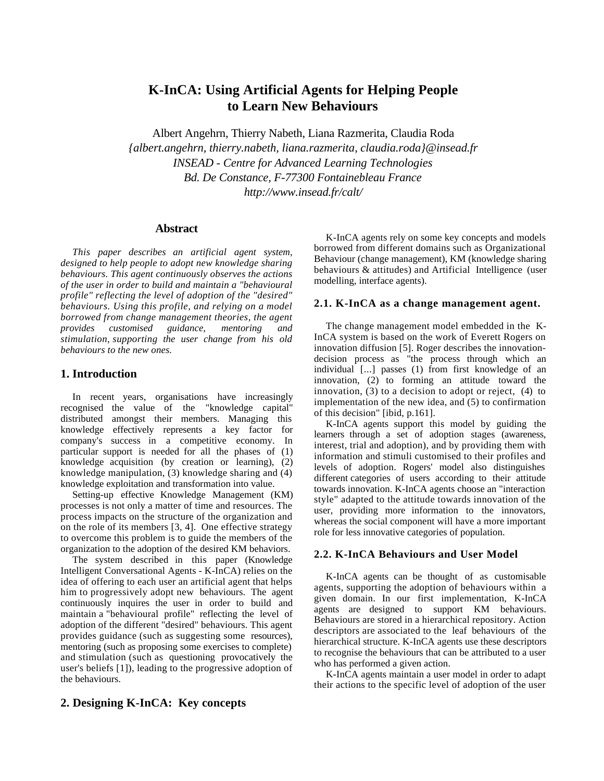## **K-InCA: Using Artificial Agents for Helping People to Learn New Behaviours**

Albert Angehrn, Thierry Nabeth, Liana Razmerita, Claudia Roda *{albert.angehrn, thierry.nabeth, liana.razmerita, claudia.roda}@insead.fr INSEAD - Centre for Advanced Learning Technologies Bd. De Constance, F-77300 Fontainebleau France http://www.insead.fr/calt/*

#### **Abstract**

*This paper describes an artificial agent system, designed to help people to adopt new knowledge sharing behaviours. This agent continuously observes the actions of the user in order to build and maintain a "behavioural profile" reflecting the level of adoption of the "desired" behaviours. Using this profile, and relying on a model borrowed from change management theories, the agent provides customised guidance, mentoring and stimulation, supporting the user change from his old behaviours to the new ones.*

#### **1. Introduction**

In recent years, organisations have increasingly recognised the value of the "knowledge capital" distributed amongst their members. Managing this knowledge effectively represents a key factor for company's success in a competitive economy. In particular support is needed for all the phases of (1) knowledge acquisition (by creation or learning), (2) knowledge manipulation, (3) knowledge sharing and (4) knowledge exploitation and transformation into value.

Setting-up effective Knowledge Management (KM) processes is not only a matter of time and resources. The process impacts on the structure of the organization and on the role of its members [3, 4]. One effective strategy to overcome this problem is to guide the members of the organization to the adoption of the desired KM behaviors.

The system described in this paper (Knowledge Intelligent Conversational Agents - K-InCA) relies on the idea of offering to each user an artificial agent that helps him to progressively adopt new behaviours. The agent continuously inquires the user in order to build and maintain a "behavioural profile" reflecting the level of adoption of the different "desired" behaviours. This agent provides guidance (such as suggesting some resources), mentoring (such as proposing some exercises to complete) and stimulation (such as questioning provocatively the user's beliefs [1]), leading to the progressive adoption of the behaviours.

#### K-InCA agents rely on some key concepts and models borrowed from different domains such as Organizational Behaviour (change management), KM (knowledge sharing behaviours & attitudes) and Artificial Intelligence (user modelling, interface agents).

#### **2.1. K-InCA as a change management agent.**

The change management model embedded in the K-InCA system is based on the work of Everett Rogers on innovation diffusion [5]. Roger describes the innovationdecision process as "the process through which an individual [...] passes (1) from first knowledge of an innovation, (2) to forming an attitude toward the innovation, (3) to a decision to adopt or reject, (4) to implementation of the new idea, and (5) to confirmation of this decision" [ibid, p.161].

K-InCA agents support this model by guiding the learners through a set of adoption stages (awareness, interest, trial and adoption), and by providing them with information and stimuli customised to their profiles and levels of adoption. Rogers' model also distinguishes different categories of users according to their attitude towards innovation. K-InCA agents choose an "interaction style" adapted to the attitude towards innovation of the user, providing more information to the innovators, whereas the social component will have a more important role for less innovative categories of population.

#### **2.2. K-InCA Behaviours and User Model**

K-InCA agents can be thought of as customisable agents, supporting the adoption of behaviours within a given domain. In our first implementation, K-InCA agents are designed to support KM behaviours. Behaviours are stored in a hierarchical repository. Action descriptors are associated to the leaf behaviours of the hierarchical structure. K-InCA agents use these descriptors to recognise the behaviours that can be attributed to a user who has performed a given action.

K-InCA agents maintain a user model in order to adapt their actions to the specific level of adoption of the user

#### **2. Designing K-InCA: Key concepts**